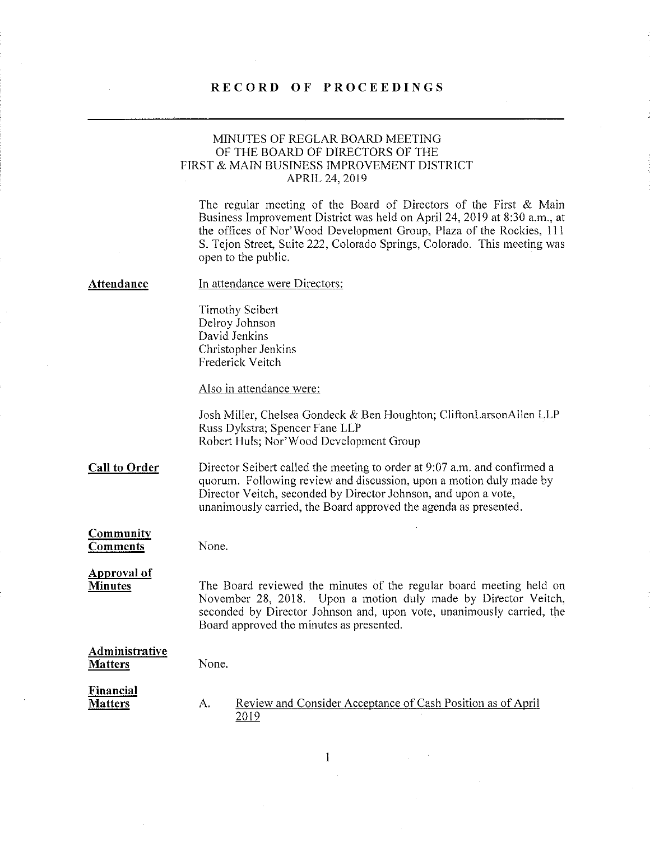## RECORD OF PROCEEDINGS

## MINUTES OF REGLAR BOARD MEETING OF THE BOARD OF DIRECTORS OF THE FIRST & MAIN BUSINESS IMPROVEMENT DISTRICT APRIL 24, 2019

The regular meeting of the Board of Directors of the First & Main Business Improvement District was held on April 24, 2019 at 8:30 a.m., at the offices of Nor'Wood Development Group, Plaza of the Rockies, Ill S. Tejon Street, Suite 222, Colorado Springs, Colorado. This meeting was open to the public.

#### Attendance In attendance were Directors:

Timothy Seibert Delroy Johnson David Jenkins Christopher Jenkins Frederick Veitch

Also in attendance were:

Josh Miller, Chelsea Gondeck & Ben Houghton; CliftonLarsonAllen LLP Russ Dykstra; Spencer Fane LLP Robert Huls; Nor'Wood Development Group

Call to Order Director Seibert called the meeting to order at 9:07 a.m. and confirmed a quorum. Following review and discussion, upon a motion duly made by Director Veitch, seconded by Director Johnson, and upon a vote, unanimously carried, the Board approved the agenda as presented.

Community **Comments** 

None.

None.

Approval of **Minutes** 

The Board reviewed the minutes of the regular board meeting held on November 28, 2018. Upon a motion duly made by Director Veitch, seconded by Director Johnson and, upon vote, unanimously carried, the Board approved the minutes as presented.

#### Administrative Matters

Financial **Matters** 

A. Review and Consider Acceptance of Cash Position as of April 2019

 $\mathbf{1}$